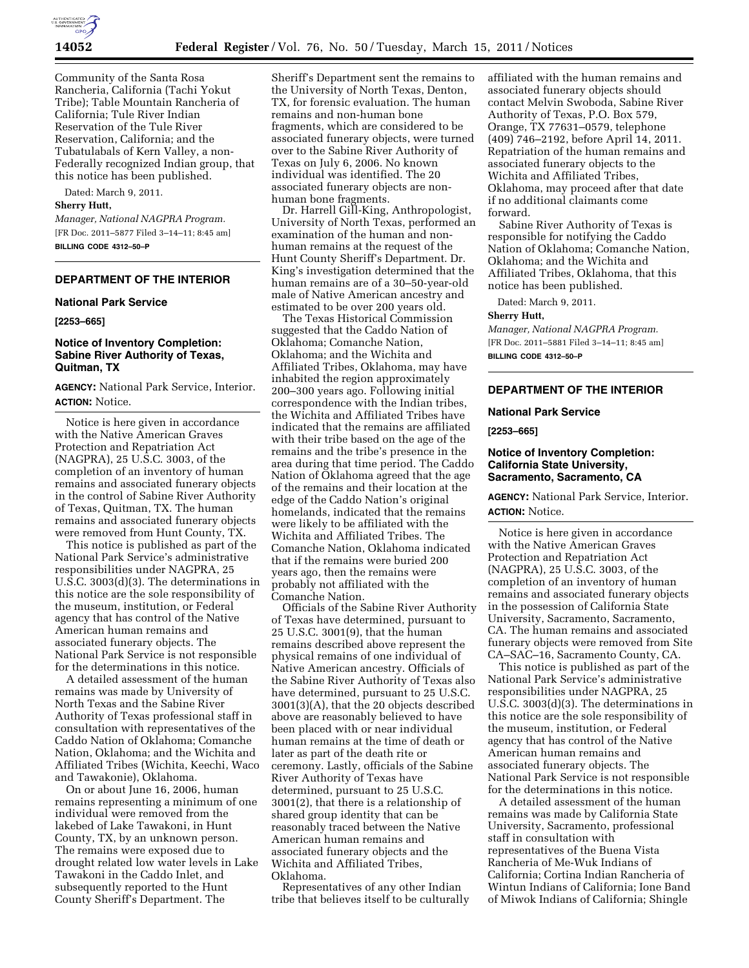

Community of the Santa Rosa Rancheria, California (Tachi Yokut Tribe); Table Mountain Rancheria of California; Tule River Indian Reservation of the Tule River Reservation, California; and the Tubatulabals of Kern Valley, a non-Federally recognized Indian group, that this notice has been published.

Dated: March 9, 2011.

### **Sherry Hutt,**

*Manager, National NAGPRA Program.*  [FR Doc. 2011–5877 Filed 3–14–11; 8:45 am] **BILLING CODE 4312–50–P** 

## **DEPARTMENT OF THE INTERIOR**

### **National Park Service**

**[2253–665]** 

# **Notice of Inventory Completion: Sabine River Authority of Texas, Quitman, TX**

**AGENCY:** National Park Service, Interior. **ACTION:** Notice.

Notice is here given in accordance with the Native American Graves Protection and Repatriation Act (NAGPRA), 25 U.S.C. 3003, of the completion of an inventory of human remains and associated funerary objects in the control of Sabine River Authority of Texas, Quitman, TX. The human remains and associated funerary objects were removed from Hunt County, TX.

This notice is published as part of the National Park Service's administrative responsibilities under NAGPRA, 25 U.S.C. 3003(d)(3). The determinations in this notice are the sole responsibility of the museum, institution, or Federal agency that has control of the Native American human remains and associated funerary objects. The National Park Service is not responsible for the determinations in this notice.

A detailed assessment of the human remains was made by University of North Texas and the Sabine River Authority of Texas professional staff in consultation with representatives of the Caddo Nation of Oklahoma; Comanche Nation, Oklahoma; and the Wichita and Affiliated Tribes (Wichita, Keechi, Waco and Tawakonie), Oklahoma.

On or about June 16, 2006, human remains representing a minimum of one individual were removed from the lakebed of Lake Tawakoni, in Hunt County, TX, by an unknown person. The remains were exposed due to drought related low water levels in Lake Tawakoni in the Caddo Inlet, and subsequently reported to the Hunt County Sheriff's Department. The

Sheriff's Department sent the remains to the University of North Texas, Denton, TX, for forensic evaluation. The human remains and non-human bone fragments, which are considered to be associated funerary objects, were turned over to the Sabine River Authority of Texas on July 6, 2006. No known individual was identified. The 20 associated funerary objects are nonhuman bone fragments.

Dr. Harrell Gill-King, Anthropologist, University of North Texas, performed an examination of the human and nonhuman remains at the request of the Hunt County Sheriff's Department. Dr. King's investigation determined that the human remains are of a 30–50-year-old male of Native American ancestry and estimated to be over 200 years old.

The Texas Historical Commission suggested that the Caddo Nation of Oklahoma; Comanche Nation, Oklahoma; and the Wichita and Affiliated Tribes, Oklahoma, may have inhabited the region approximately 200–300 years ago. Following initial correspondence with the Indian tribes, the Wichita and Affiliated Tribes have indicated that the remains are affiliated with their tribe based on the age of the remains and the tribe's presence in the area during that time period. The Caddo Nation of Oklahoma agreed that the age of the remains and their location at the edge of the Caddo Nation's original homelands, indicated that the remains were likely to be affiliated with the Wichita and Affiliated Tribes. The Comanche Nation, Oklahoma indicated that if the remains were buried 200 years ago, then the remains were probably not affiliated with the Comanche Nation.

Officials of the Sabine River Authority of Texas have determined, pursuant to 25 U.S.C. 3001(9), that the human remains described above represent the physical remains of one individual of Native American ancestry. Officials of the Sabine River Authority of Texas also have determined, pursuant to 25 U.S.C. 3001(3)(A), that the 20 objects described above are reasonably believed to have been placed with or near individual human remains at the time of death or later as part of the death rite or ceremony. Lastly, officials of the Sabine River Authority of Texas have determined, pursuant to 25 U.S.C. 3001(2), that there is a relationship of shared group identity that can be reasonably traced between the Native American human remains and associated funerary objects and the Wichita and Affiliated Tribes, Oklahoma.

Representatives of any other Indian tribe that believes itself to be culturally affiliated with the human remains and associated funerary objects should contact Melvin Swoboda, Sabine River Authority of Texas, P.O. Box 579, Orange, TX 77631–0579, telephone (409) 746–2192, before April 14, 2011. Repatriation of the human remains and associated funerary objects to the Wichita and Affiliated Tribes, Oklahoma, may proceed after that date if no additional claimants come forward.

Sabine River Authority of Texas is responsible for notifying the Caddo Nation of Oklahoma; Comanche Nation, Oklahoma; and the Wichita and Affiliated Tribes, Oklahoma, that this notice has been published.

Dated: March 9, 2011.

### **Sherry Hutt,**

*Manager, National NAGPRA Program.*  [FR Doc. 2011–5881 Filed 3–14–11; 8:45 am] **BILLING CODE 4312–50–P** 

# **DEPARTMENT OF THE INTERIOR**

### **National Park Service**

**[2253–665]** 

## **Notice of Inventory Completion: California State University, Sacramento, Sacramento, CA**

**AGENCY:** National Park Service, Interior. **ACTION:** Notice.

Notice is here given in accordance with the Native American Graves Protection and Repatriation Act (NAGPRA), 25 U.S.C. 3003, of the completion of an inventory of human remains and associated funerary objects in the possession of California State University, Sacramento, Sacramento, CA. The human remains and associated funerary objects were removed from Site CA–SAC–16, Sacramento County, CA.

This notice is published as part of the National Park Service's administrative responsibilities under NAGPRA, 25 U.S.C. 3003(d)(3). The determinations in this notice are the sole responsibility of the museum, institution, or Federal agency that has control of the Native American human remains and associated funerary objects. The National Park Service is not responsible for the determinations in this notice.

A detailed assessment of the human remains was made by California State University, Sacramento, professional staff in consultation with representatives of the Buena Vista Rancheria of Me-Wuk Indians of California; Cortina Indian Rancheria of Wintun Indians of California; Ione Band of Miwok Indians of California; Shingle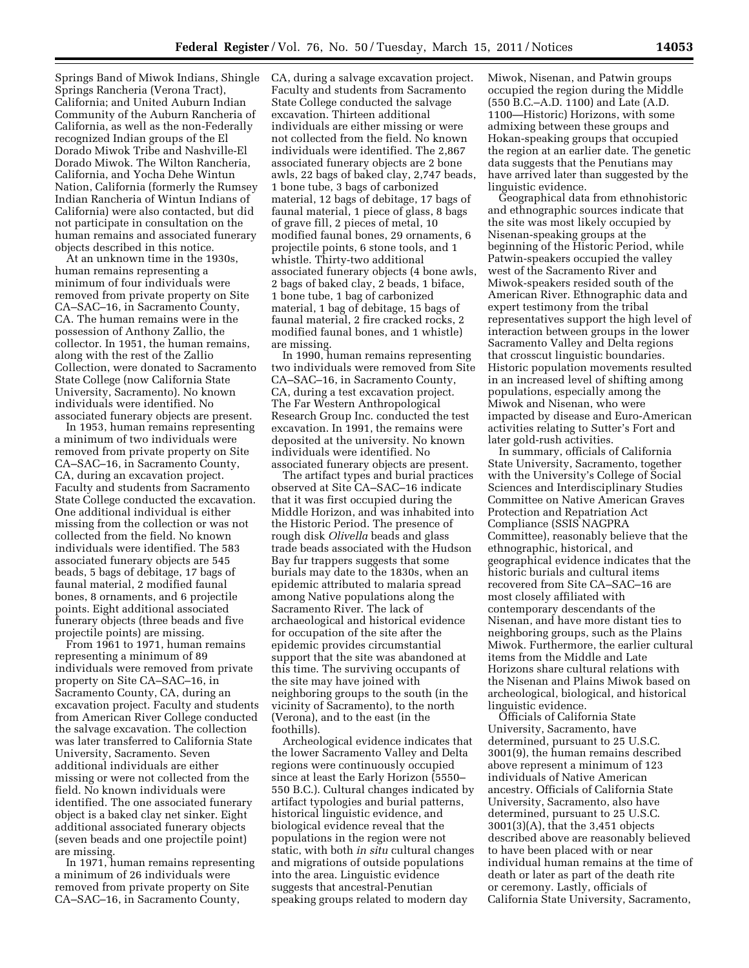Springs Band of Miwok Indians, Shingle Springs Rancheria (Verona Tract), California; and United Auburn Indian Community of the Auburn Rancheria of California, as well as the non-Federally recognized Indian groups of the El Dorado Miwok Tribe and Nashville-El Dorado Miwok. The Wilton Rancheria, California, and Yocha Dehe Wintun Nation, California (formerly the Rumsey Indian Rancheria of Wintun Indians of California) were also contacted, but did not participate in consultation on the human remains and associated funerary objects described in this notice.

At an unknown time in the 1930s, human remains representing a minimum of four individuals were removed from private property on Site CA–SAC–16, in Sacramento County, CA. The human remains were in the possession of Anthony Zallio, the collector. In 1951, the human remains, along with the rest of the Zallio Collection, were donated to Sacramento State College (now California State University, Sacramento). No known individuals were identified. No associated funerary objects are present.

In 1953, human remains representing a minimum of two individuals were removed from private property on Site CA–SAC–16, in Sacramento County, CA, during an excavation project. Faculty and students from Sacramento State College conducted the excavation. One additional individual is either missing from the collection or was not collected from the field. No known individuals were identified. The 583 associated funerary objects are 545 beads, 5 bags of debitage, 17 bags of faunal material, 2 modified faunal bones, 8 ornaments, and 6 projectile points. Eight additional associated funerary objects (three beads and five projectile points) are missing.

From 1961 to 1971, human remains representing a minimum of 89 individuals were removed from private property on Site CA–SAC–16, in Sacramento County, CA, during an excavation project. Faculty and students from American River College conducted the salvage excavation. The collection was later transferred to California State University, Sacramento. Seven additional individuals are either missing or were not collected from the field. No known individuals were identified. The one associated funerary object is a baked clay net sinker. Eight additional associated funerary objects (seven beads and one projectile point) are missing.

In 1971, human remains representing a minimum of 26 individuals were removed from private property on Site CA–SAC–16, in Sacramento County,

CA, during a salvage excavation project. Faculty and students from Sacramento State College conducted the salvage excavation. Thirteen additional individuals are either missing or were not collected from the field. No known individuals were identified. The 2,867 associated funerary objects are 2 bone awls, 22 bags of baked clay, 2,747 beads, 1 bone tube, 3 bags of carbonized material, 12 bags of debitage, 17 bags of faunal material, 1 piece of glass, 8 bags of grave fill, 2 pieces of metal, 10 modified faunal bones, 29 ornaments, 6 projectile points, 6 stone tools, and 1 whistle. Thirty-two additional associated funerary objects (4 bone awls, 2 bags of baked clay, 2 beads, 1 biface, 1 bone tube, 1 bag of carbonized material, 1 bag of debitage, 15 bags of faunal material, 2 fire cracked rocks, 2 modified faunal bones, and 1 whistle) are missing.

In 1990, human remains representing two individuals were removed from Site CA–SAC–16, in Sacramento County, CA, during a test excavation project. The Far Western Anthropological Research Group Inc. conducted the test excavation. In 1991, the remains were deposited at the university. No known individuals were identified. No associated funerary objects are present.

The artifact types and burial practices observed at Site CA–SAC–16 indicate that it was first occupied during the Middle Horizon, and was inhabited into the Historic Period. The presence of rough disk *Olivella* beads and glass trade beads associated with the Hudson Bay fur trappers suggests that some burials may date to the 1830s, when an epidemic attributed to malaria spread among Native populations along the Sacramento River. The lack of archaeological and historical evidence for occupation of the site after the epidemic provides circumstantial support that the site was abandoned at this time. The surviving occupants of the site may have joined with neighboring groups to the south (in the vicinity of Sacramento), to the north (Verona), and to the east (in the foothills).

Archeological evidence indicates that the lower Sacramento Valley and Delta regions were continuously occupied since at least the Early Horizon (5550– 550 B.C.). Cultural changes indicated by artifact typologies and burial patterns, historical linguistic evidence, and biological evidence reveal that the populations in the region were not static, with both *in situ* cultural changes and migrations of outside populations into the area. Linguistic evidence suggests that ancestral-Penutian speaking groups related to modern day

Miwok, Nisenan, and Patwin groups occupied the region during the Middle (550 B.C.–A.D. 1100) and Late (A.D. 1100—Historic) Horizons, with some admixing between these groups and Hokan-speaking groups that occupied the region at an earlier date. The genetic data suggests that the Penutians may have arrived later than suggested by the linguistic evidence.

Geographical data from ethnohistoric and ethnographic sources indicate that the site was most likely occupied by Nisenan-speaking groups at the beginning of the Historic Period, while Patwin-speakers occupied the valley west of the Sacramento River and Miwok-speakers resided south of the American River. Ethnographic data and expert testimony from the tribal representatives support the high level of interaction between groups in the lower Sacramento Valley and Delta regions that crosscut linguistic boundaries. Historic population movements resulted in an increased level of shifting among populations, especially among the Miwok and Nisenan, who were impacted by disease and Euro-American activities relating to Sutter's Fort and later gold-rush activities.

In summary, officials of California State University, Sacramento, together with the University's College of Social Sciences and Interdisciplinary Studies Committee on Native American Graves Protection and Repatriation Act Compliance (SSIS NAGPRA Committee), reasonably believe that the ethnographic, historical, and geographical evidence indicates that the historic burials and cultural items recovered from Site CA–SAC–16 are most closely affiliated with contemporary descendants of the Nisenan, and have more distant ties to neighboring groups, such as the Plains Miwok. Furthermore, the earlier cultural items from the Middle and Late Horizons share cultural relations with the Nisenan and Plains Miwok based on archeological, biological, and historical linguistic evidence.

Officials of California State University, Sacramento, have determined, pursuant to 25 U.S.C. 3001(9), the human remains described above represent a minimum of 123 individuals of Native American ancestry. Officials of California State University, Sacramento, also have determined, pursuant to 25 U.S.C. 3001(3)(A), that the 3,451 objects described above are reasonably believed to have been placed with or near individual human remains at the time of death or later as part of the death rite or ceremony. Lastly, officials of California State University, Sacramento,